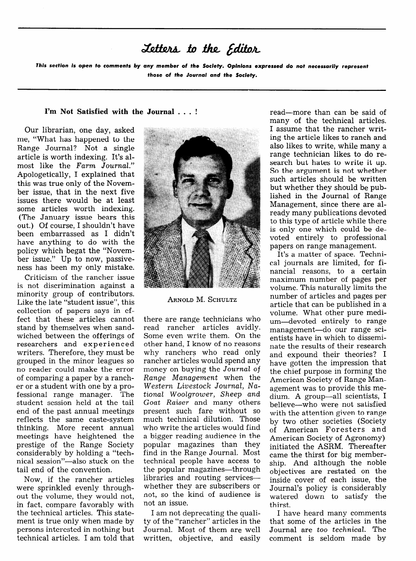## Letters to the Editor

This section is open to comments by any member of the Society. Opinions expressed do not necessarily represent those of the Journal and the Society.

## **I'm Not Satisfied with the Journal** . . . !

Our librarian, one day, asked me, "What has happened to the Range Journal? Not a single article is worth indexing. It's almost like the *Farm Journal."*  Apologetically, I explained that this was true only of the November issue, that in the next five issues there would be at least some articles worth indexing. (The January issue bears this out.) Of course, I shouldn't have been embarrassed as I didn't have anything to do with the policy which begat the "November issue." Up to now, passiveness has been my only mistake.

Criticism of the rancher issue is not discrimination against a minority group of contributors. Like the late "student issue", this collection of papers says in effect that these articles cannot stand by themselves when sandwiched between the offerings of researchers and experienced writers. Therefore, they must be grouped in the minor leagues so no reader could make the error of comparing a paper by a rancher or a student with one by a professional range manager. The student session held at the tail end of the past annual meetings reflects the same caste-system thinking. More recent annual meetings have heightened the prestige of the Range Society considerably by holding a "technical session"-also stuck on the tail end of the convention.

Now, if the rancher articles were sprinkled evenly throughout the volume, they would not, in fact, compare favorably with the technical articles. This statement is true only when made by persons interested in nothing but technical articles. I am told that



**ARNOLD M. SCHULTZ** 

there are range technicians who read rancher articles avidly. Some even write them. On the other hand, I know of no reasons why ranchers who read only rancher articles would spend any money on buying the Journal of *Range Management* when the *Western Livestock Journal, National Woolgrower, Sheep and Goat Raiser* and many others present such fare without so much technical dilution. Those who write the articles would find a bigger reading audience in the popular magazines than they find in the Range Journal. Most technical people have access to the popular magazines—through libraries and routing serviceswhether they are subscribers or not, so the kind of audience is not an issue.

I am not deprecating the quality of the "rancher" articles in the Journal. Most of them are well written, objective, and easily

read-more than can be said of many of the technical articles. I assume that the rancher writing the article likes to ranch and also likes to write, while many a range technician likes to do research but hates to write it up. So the argument is not whether such articles should be written but whether they should be published in the Journal of Range Management, since there are already many publications devoted to this type of article while there is only one which could be devoted entirely to professional papers on range management.

It's a matter of space. Technical journals are limited, for financial reasons, to a certain maximum number of pages per volume. This naturally limits the number of articles and pages per article that can be published in a volume. What other pure medium-devoted entirely to range management-do our range scientists have in which to disseminate the results of their research and expound their theories? I have gotten the impression that the chief purpose in forming the American Society of Range Management was to provide this medium. A group—all scientists, I believe-who were not satisfied with the attention given to range by two other societies (Society of American Foresters and American Society of Agronomy) initiated the ASRM. Thereafter came the thirst for big membership. And although the noble objectives are restated on the inside cover of each issue, the Journal's policy is considerably watered down to satisfy the thirst.

I have heard many comments that some of the articles in the Journal are *too technical.* The comment is seldom made by